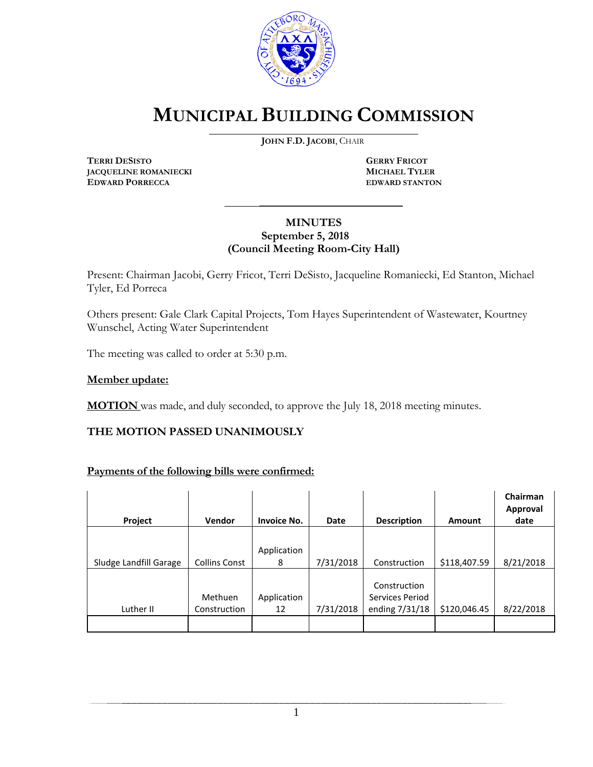

# **MUNICIPAL BUILDING COMMISSION**

**JOHN F.D. JACOBI**, CHAIR

**TERRI DESISTO GERRY FRICOT JACQUELINE ROMANIECKI**<br> **EDWARD PORRECCA**<br> **EDWARD STANTON EDWARD PORRECCA** 

#### **MINUTES September 5, 2018 (Council Meeting Room-City Hall)**

\_\_\_\_\_\_\_\_\_\_\_\_\_\_\_\_\_\_\_\_\_\_\_\_\_\_\_\_\_\_\_\_\_\_\_\_\_

Present: Chairman Jacobi, Gerry Fricot, Terri DeSisto, Jacqueline Romaniecki, Ed Stanton, Michael Tyler, Ed Porreca

Others present: Gale Clark Capital Projects, Tom Hayes Superintendent of Wastewater, Kourtney Wunschel, Acting Water Superintendent

The meeting was called to order at 5:30 p.m.

#### **Member update:**

**MOTION** was made, and duly seconded, to approve the July 18, 2018 meeting minutes.

#### **THE MOTION PASSED UNANIMOUSLY**

#### **Payments of the following bills were confirmed:**

| Project                | <b>Vendor</b>        | <b>Invoice No.</b> | Date      | <b>Description</b> | <b>Amount</b> | Chairman<br><b>Approval</b><br>date |
|------------------------|----------------------|--------------------|-----------|--------------------|---------------|-------------------------------------|
|                        |                      |                    |           |                    |               |                                     |
|                        |                      | Application        |           |                    |               |                                     |
| Sludge Landfill Garage | <b>Collins Const</b> | 8                  | 7/31/2018 | Construction       | \$118,407.59  | 8/21/2018                           |
|                        |                      |                    |           |                    |               |                                     |
|                        |                      |                    |           | Construction       |               |                                     |
|                        | Methuen              | Application        |           | Services Period    |               |                                     |
| Luther II              | Construction         | 12                 | 7/31/2018 | ending 7/31/18     | \$120,046.45  | 8/22/2018                           |
|                        |                      |                    |           |                    |               |                                     |

1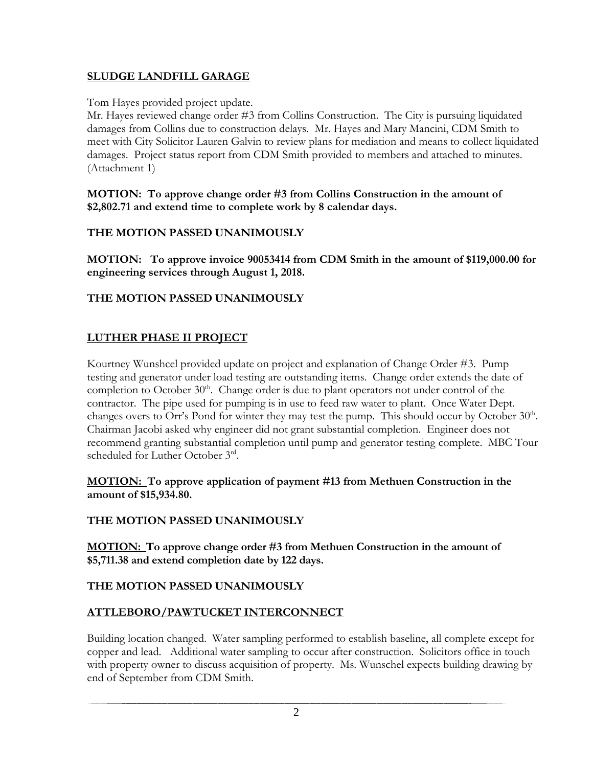# **SLUDGE LANDFILL GARAGE**

Tom Hayes provided project update.

Mr. Hayes reviewed change order #3 from Collins Construction. The City is pursuing liquidated damages from Collins due to construction delays. Mr. Hayes and Mary Mancini, CDM Smith to meet with City Solicitor Lauren Galvin to review plans for mediation and means to collect liquidated damages. Project status report from CDM Smith provided to members and attached to minutes. (Attachment 1)

**MOTION: To approve change order #3 from Collins Construction in the amount of \$2,802.71 and extend time to complete work by 8 calendar days.** 

# **THE MOTION PASSED UNANIMOUSLY**

**MOTION: To approve invoice 90053414 from CDM Smith in the amount of \$119,000.00 for engineering services through August 1, 2018.**

# **THE MOTION PASSED UNANIMOUSLY**

# **LUTHER PHASE II PROJECT**

Kourtney Wunshcel provided update on project and explanation of Change Order #3. Pump testing and generator under load testing are outstanding items. Change order extends the date of completion to October 30<sup>th</sup>. Change order is due to plant operators not under control of the contractor. The pipe used for pumping is in use to feed raw water to plant. Once Water Dept. changes overs to Orr's Pond for winter they may test the pump. This should occur by October 30<sup>th</sup>. Chairman Jacobi asked why engineer did not grant substantial completion. Engineer does not recommend granting substantial completion until pump and generator testing complete. MBC Tour scheduled for Luther October 3rd.

#### **MOTION: To approve application of payment #13 from Methuen Construction in the amount of \$15,934.80.**

# **THE MOTION PASSED UNANIMOUSLY**

**MOTION: To approve change order #3 from Methuen Construction in the amount of \$5,711.38 and extend completion date by 122 days.**

# **THE MOTION PASSED UNANIMOUSLY**

# **ATTLEBORO/PAWTUCKET INTERCONNECT**

Building location changed. Water sampling performed to establish baseline, all complete except for copper and lead. Additional water sampling to occur after construction. Solicitors office in touch with property owner to discuss acquisition of property. Ms. Wunschel expects building drawing by end of September from CDM Smith.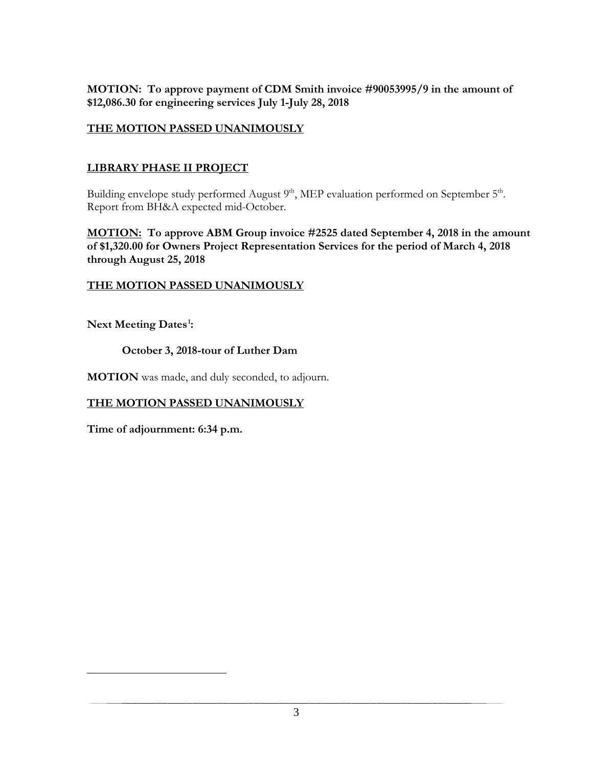**MOTION: To approve payment of CDM Smith invoice #90053995/9 in the amount of \$12,086.30 for engineering services July 1-July 28, 2018**

#### **THE MOTION PASSED UNANIMOUSLY**

#### **LIBRARY PHASE II PROJECT**

Building envelope study performed August 9<sup>th</sup>, MEP evaluation performed on September 5<sup>th</sup>. Report from BH&A expected mid-October.

**MOTION: To approve ABM Group invoice #2525 dated September 4, 2018 in the amount of \$1,320.00 for Owners Project Representation Services for the period of March 4, 2018 through August 25, 2018**

#### **THE MOTION PASSED UNANIMOUSLY**

**Next Meeting Dates[1](#page-2-0) :** 

<span id="page-2-0"></span> $\overline{a}$ 

#### **October 3, 2018-tour of Luther Dam**

**MOTION** was made, and duly seconded, to adjourn.

#### **THE MOTION PASSED UNANIMOUSLY**

**Time of adjournment: 6:34 p.m.**